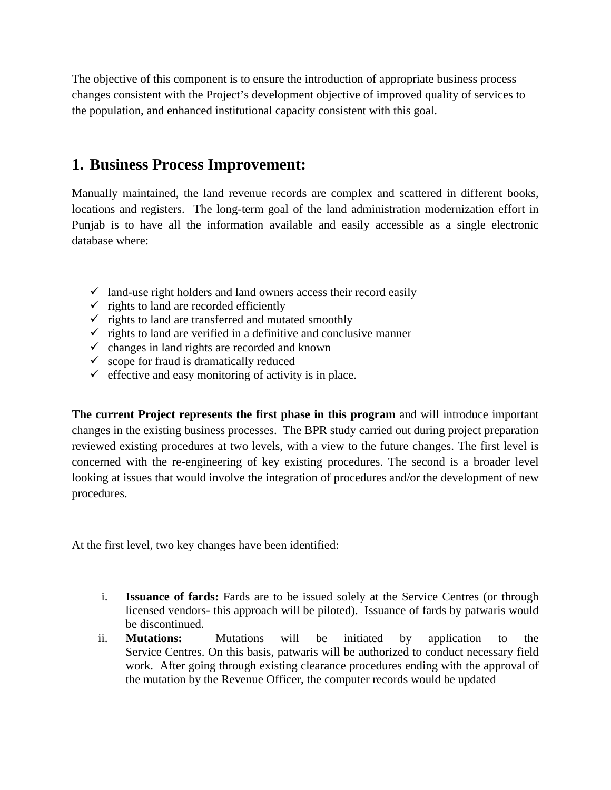The objective of this component is to ensure the introduction of appropriate business process changes consistent with the Project's development objective of improved quality of services to the population, and enhanced institutional capacity consistent with this goal.

# **1. Business Process Improvement:**

Manually maintained, the land revenue records are complex and scattered in different books, locations and registers. The long-term goal of the land administration modernization effort in Punjab is to have all the information available and easily accessible as a single electronic database where:

- $\checkmark$  land-use right holders and land owners access their record easily
- $\checkmark$  rights to land are recorded efficiently
- $\checkmark$  rights to land are transferred and mutated smoothly
- $\checkmark$  rights to land are verified in a definitive and conclusive manner
- $\checkmark$  changes in land rights are recorded and known
- $\checkmark$  scope for fraud is dramatically reduced
- $\checkmark$  effective and easy monitoring of activity is in place.

**The current Project represents the first phase in this program** and will introduce important changes in the existing business processes. The BPR study carried out during project preparation reviewed existing procedures at two levels, with a view to the future changes. The first level is concerned with the re-engineering of key existing procedures. The second is a broader level looking at issues that would involve the integration of procedures and/or the development of new procedures.

At the first level, two key changes have been identified:

- i. **Issuance of fards:** Fards are to be issued solely at the Service Centres (or through licensed vendors- this approach will be piloted). Issuance of fards by patwaris would be discontinued.
- ii. **Mutations:** Mutations will be initiated by application to the Service Centres. On this basis, patwaris will be authorized to conduct necessary field work. After going through existing clearance procedures ending with the approval of the mutation by the Revenue Officer, the computer records would be updated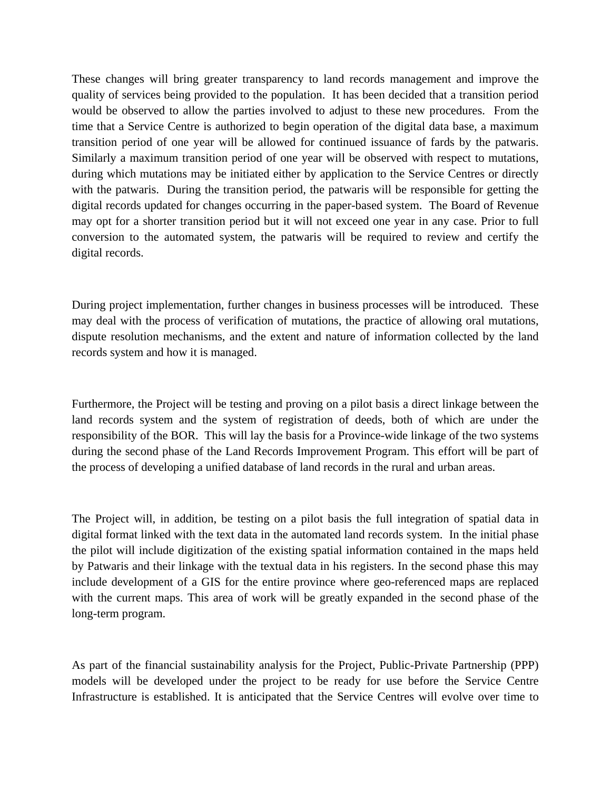These changes will bring greater transparency to land records management and improve the quality of services being provided to the population. It has been decided that a transition period would be observed to allow the parties involved to adjust to these new procedures. From the time that a Service Centre is authorized to begin operation of the digital data base, a maximum transition period of one year will be allowed for continued issuance of fards by the patwaris. Similarly a maximum transition period of one year will be observed with respect to mutations, during which mutations may be initiated either by application to the Service Centres or directly with the patwaris. During the transition period, the patwaris will be responsible for getting the digital records updated for changes occurring in the paper-based system. The Board of Revenue may opt for a shorter transition period but it will not exceed one year in any case. Prior to full conversion to the automated system, the patwaris will be required to review and certify the digital records.

During project implementation, further changes in business processes will be introduced. These may deal with the process of verification of mutations, the practice of allowing oral mutations, dispute resolution mechanisms, and the extent and nature of information collected by the land records system and how it is managed.

Furthermore, the Project will be testing and proving on a pilot basis a direct linkage between the land records system and the system of registration of deeds, both of which are under the responsibility of the BOR. This will lay the basis for a Province-wide linkage of the two systems during the second phase of the Land Records Improvement Program. This effort will be part of the process of developing a unified database of land records in the rural and urban areas.

The Project will, in addition, be testing on a pilot basis the full integration of spatial data in digital format linked with the text data in the automated land records system. In the initial phase the pilot will include digitization of the existing spatial information contained in the maps held by Patwaris and their linkage with the textual data in his registers. In the second phase this may include development of a GIS for the entire province where geo-referenced maps are replaced with the current maps. This area of work will be greatly expanded in the second phase of the long-term program.

As part of the financial sustainability analysis for the Project, Public-Private Partnership (PPP) models will be developed under the project to be ready for use before the Service Centre Infrastructure is established. It is anticipated that the Service Centres will evolve over time to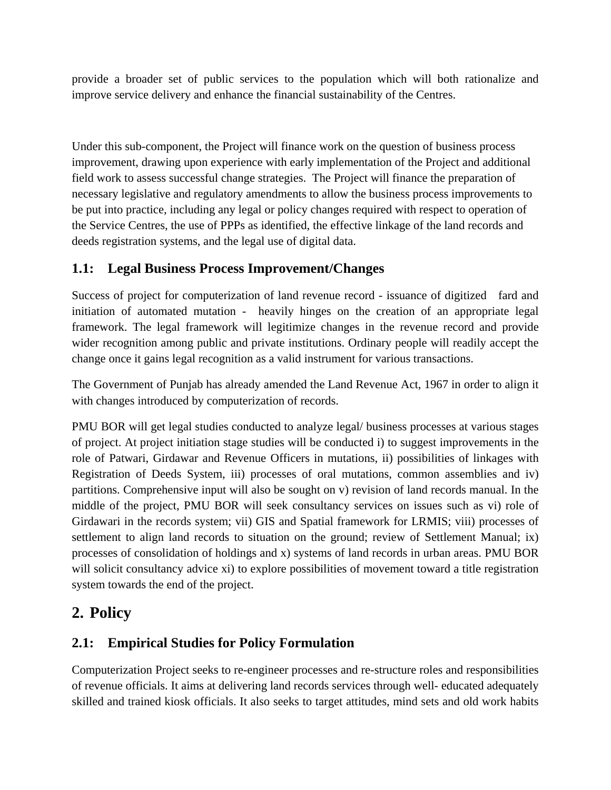provide a broader set of public services to the population which will both rationalize and improve service delivery and enhance the financial sustainability of the Centres.

Under this sub-component, the Project will finance work on the question of business process improvement, drawing upon experience with early implementation of the Project and additional field work to assess successful change strategies. The Project will finance the preparation of necessary legislative and regulatory amendments to allow the business process improvements to be put into practice, including any legal or policy changes required with respect to operation of the Service Centres, the use of PPPs as identified, the effective linkage of the land records and deeds registration systems, and the legal use of digital data.

## **1.1: Legal Business Process Improvement/Changes**

Success of project for computerization of land revenue record - issuance of digitized fard and initiation of automated mutation - heavily hinges on the creation of an appropriate legal framework. The legal framework will legitimize changes in the revenue record and provide wider recognition among public and private institutions. Ordinary people will readily accept the change once it gains legal recognition as a valid instrument for various transactions.

The Government of Punjab has already amended the Land Revenue Act, 1967 in order to align it with changes introduced by computerization of records.

PMU BOR will get legal studies conducted to analyze legal/ business processes at various stages of project. At project initiation stage studies will be conducted i) to suggest improvements in the role of Patwari, Girdawar and Revenue Officers in mutations, ii) possibilities of linkages with Registration of Deeds System, iii) processes of oral mutations, common assemblies and iv) partitions. Comprehensive input will also be sought on v) revision of land records manual. In the middle of the project, PMU BOR will seek consultancy services on issues such as vi) role of Girdawari in the records system; vii) GIS and Spatial framework for LRMIS; viii) processes of settlement to align land records to situation on the ground; review of Settlement Manual; ix) processes of consolidation of holdings and x) systems of land records in urban areas. PMU BOR will solicit consultancy advice xi) to explore possibilities of movement toward a title registration system towards the end of the project.

# **2. Policy**

## **2.1: Empirical Studies for Policy Formulation**

Computerization Project seeks to re-engineer processes and re-structure roles and responsibilities of revenue officials. It aims at delivering land records services through well- educated adequately skilled and trained kiosk officials. It also seeks to target attitudes, mind sets and old work habits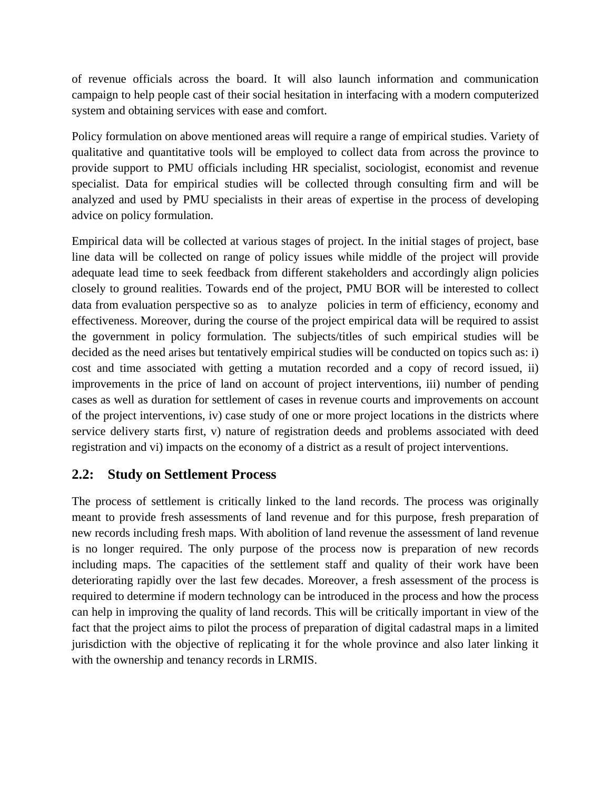of revenue officials across the board. It will also launch information and communication campaign to help people cast of their social hesitation in interfacing with a modern computerized system and obtaining services with ease and comfort.

Policy formulation on above mentioned areas will require a range of empirical studies. Variety of qualitative and quantitative tools will be employed to collect data from across the province to provide support to PMU officials including HR specialist, sociologist, economist and revenue specialist. Data for empirical studies will be collected through consulting firm and will be analyzed and used by PMU specialists in their areas of expertise in the process of developing advice on policy formulation.

Empirical data will be collected at various stages of project. In the initial stages of project, base line data will be collected on range of policy issues while middle of the project will provide adequate lead time to seek feedback from different stakeholders and accordingly align policies closely to ground realities. Towards end of the project, PMU BOR will be interested to collect data from evaluation perspective so as to analyze policies in term of efficiency, economy and effectiveness. Moreover, during the course of the project empirical data will be required to assist the government in policy formulation. The subjects/titles of such empirical studies will be decided as the need arises but tentatively empirical studies will be conducted on topics such as: i) cost and time associated with getting a mutation recorded and a copy of record issued, ii) improvements in the price of land on account of project interventions, iii) number of pending cases as well as duration for settlement of cases in revenue courts and improvements on account of the project interventions, iv) case study of one or more project locations in the districts where service delivery starts first, v) nature of registration deeds and problems associated with deed registration and vi) impacts on the economy of a district as a result of project interventions.

## **2.2: Study on Settlement Process**

The process of settlement is critically linked to the land records. The process was originally meant to provide fresh assessments of land revenue and for this purpose, fresh preparation of new records including fresh maps. With abolition of land revenue the assessment of land revenue is no longer required. The only purpose of the process now is preparation of new records including maps. The capacities of the settlement staff and quality of their work have been deteriorating rapidly over the last few decades. Moreover, a fresh assessment of the process is required to determine if modern technology can be introduced in the process and how the process can help in improving the quality of land records. This will be critically important in view of the fact that the project aims to pilot the process of preparation of digital cadastral maps in a limited jurisdiction with the objective of replicating it for the whole province and also later linking it with the ownership and tenancy records in LRMIS.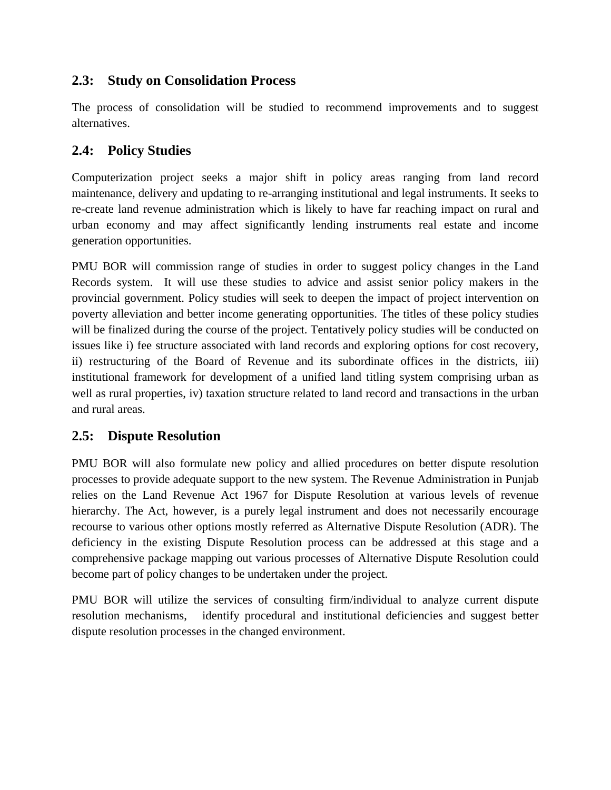## **2.3: Study on Consolidation Process**

The process of consolidation will be studied to recommend improvements and to suggest alternatives.

## **2.4: Policy Studies**

Computerization project seeks a major shift in policy areas ranging from land record maintenance, delivery and updating to re-arranging institutional and legal instruments. It seeks to re-create land revenue administration which is likely to have far reaching impact on rural and urban economy and may affect significantly lending instruments real estate and income generation opportunities.

PMU BOR will commission range of studies in order to suggest policy changes in the Land Records system. It will use these studies to advice and assist senior policy makers in the provincial government. Policy studies will seek to deepen the impact of project intervention on poverty alleviation and better income generating opportunities. The titles of these policy studies will be finalized during the course of the project. Tentatively policy studies will be conducted on issues like i) fee structure associated with land records and exploring options for cost recovery, ii) restructuring of the Board of Revenue and its subordinate offices in the districts, iii) institutional framework for development of a unified land titling system comprising urban as well as rural properties, iv) taxation structure related to land record and transactions in the urban and rural areas.

## **2.5: Dispute Resolution**

PMU BOR will also formulate new policy and allied procedures on better dispute resolution processes to provide adequate support to the new system. The Revenue Administration in Punjab relies on the Land Revenue Act 1967 for Dispute Resolution at various levels of revenue hierarchy. The Act, however, is a purely legal instrument and does not necessarily encourage recourse to various other options mostly referred as Alternative Dispute Resolution (ADR). The deficiency in the existing Dispute Resolution process can be addressed at this stage and a comprehensive package mapping out various processes of Alternative Dispute Resolution could become part of policy changes to be undertaken under the project.

PMU BOR will utilize the services of consulting firm/individual to analyze current dispute resolution mechanisms, identify procedural and institutional deficiencies and suggest better dispute resolution processes in the changed environment.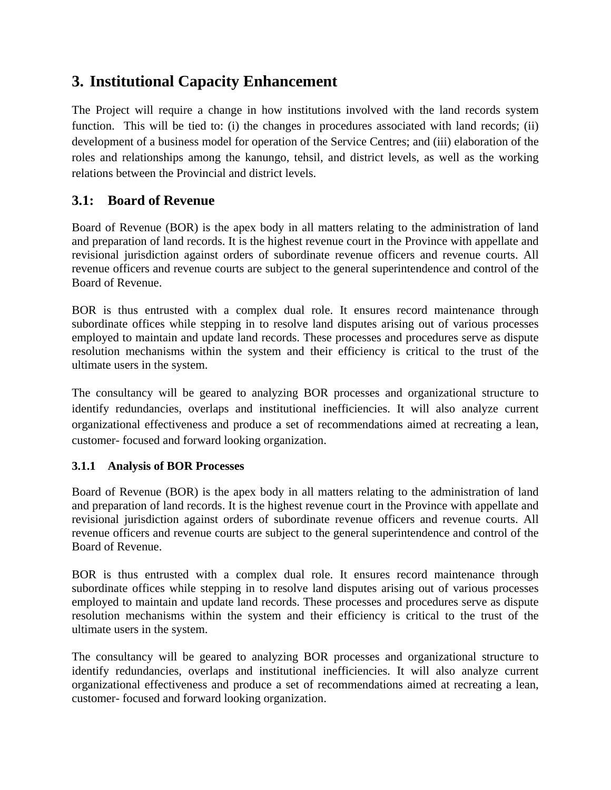# **3. Institutional Capacity Enhancement**

The Project will require a change in how institutions involved with the land records system function. This will be tied to: (i) the changes in procedures associated with land records; (ii) development of a business model for operation of the Service Centres; and (iii) elaboration of the roles and relationships among the kanungo, tehsil, and district levels, as well as the working relations between the Provincial and district levels.

## **3.1: Board of Revenue**

Board of Revenue (BOR) is the apex body in all matters relating to the administration of land and preparation of land records. It is the highest revenue court in the Province with appellate and revisional jurisdiction against orders of subordinate revenue officers and revenue courts. All revenue officers and revenue courts are subject to the general superintendence and control of the Board of Revenue.

BOR is thus entrusted with a complex dual role. It ensures record maintenance through subordinate offices while stepping in to resolve land disputes arising out of various processes employed to maintain and update land records. These processes and procedures serve as dispute resolution mechanisms within the system and their efficiency is critical to the trust of the ultimate users in the system.

The consultancy will be geared to analyzing BOR processes and organizational structure to identify redundancies, overlaps and institutional inefficiencies. It will also analyze current organizational effectiveness and produce a set of recommendations aimed at recreating a lean, customer- focused and forward looking organization.

### **3.1.1 Analysis of BOR Processes**

Board of Revenue (BOR) is the apex body in all matters relating to the administration of land and preparation of land records. It is the highest revenue court in the Province with appellate and revisional jurisdiction against orders of subordinate revenue officers and revenue courts. All revenue officers and revenue courts are subject to the general superintendence and control of the Board of Revenue.

BOR is thus entrusted with a complex dual role. It ensures record maintenance through subordinate offices while stepping in to resolve land disputes arising out of various processes employed to maintain and update land records. These processes and procedures serve as dispute resolution mechanisms within the system and their efficiency is critical to the trust of the ultimate users in the system.

The consultancy will be geared to analyzing BOR processes and organizational structure to identify redundancies, overlaps and institutional inefficiencies. It will also analyze current organizational effectiveness and produce a set of recommendations aimed at recreating a lean, customer- focused and forward looking organization.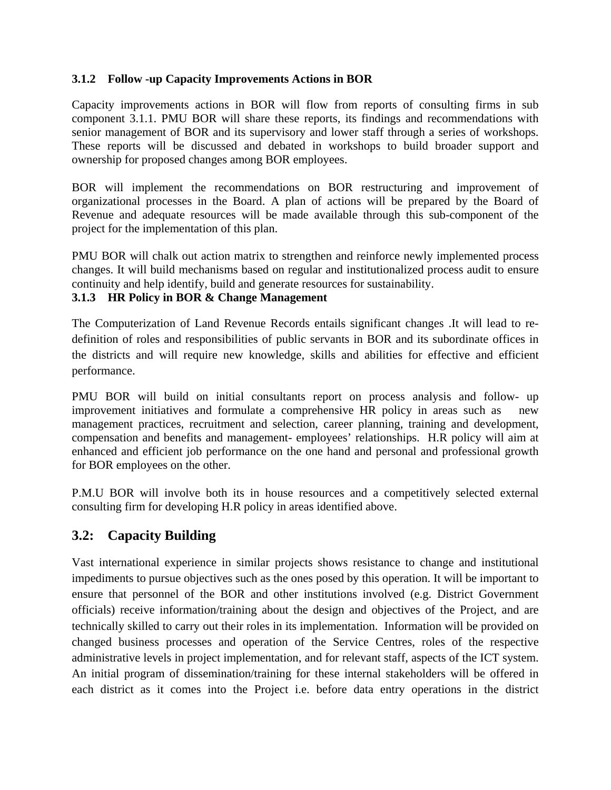#### **3.1.2 Follow -up Capacity Improvements Actions in BOR**

Capacity improvements actions in BOR will flow from reports of consulting firms in sub component 3.1.1. PMU BOR will share these reports, its findings and recommendations with senior management of BOR and its supervisory and lower staff through a series of workshops. These reports will be discussed and debated in workshops to build broader support and ownership for proposed changes among BOR employees.

BOR will implement the recommendations on BOR restructuring and improvement of organizational processes in the Board. A plan of actions will be prepared by the Board of Revenue and adequate resources will be made available through this sub-component of the project for the implementation of this plan.

PMU BOR will chalk out action matrix to strengthen and reinforce newly implemented process changes. It will build mechanisms based on regular and institutionalized process audit to ensure continuity and help identify, build and generate resources for sustainability.

#### **3.1.3 HR Policy in BOR & Change Management**

The Computerization of Land Revenue Records entails significant changes .It will lead to redefinition of roles and responsibilities of public servants in BOR and its subordinate offices in the districts and will require new knowledge, skills and abilities for effective and efficient performance.

PMU BOR will build on initial consultants report on process analysis and follow- up improvement initiatives and formulate a comprehensive HR policy in areas such as new management practices, recruitment and selection, career planning, training and development, compensation and benefits and management- employees' relationships. H.R policy will aim at enhanced and efficient job performance on the one hand and personal and professional growth for BOR employees on the other.

P.M.U BOR will involve both its in house resources and a competitively selected external consulting firm for developing H.R policy in areas identified above.

### **3.2: Capacity Building**

Vast international experience in similar projects shows resistance to change and institutional impediments to pursue objectives such as the ones posed by this operation. It will be important to ensure that personnel of the BOR and other institutions involved (e.g. District Government officials) receive information/training about the design and objectives of the Project, and are technically skilled to carry out their roles in its implementation. Information will be provided on changed business processes and operation of the Service Centres, roles of the respective administrative levels in project implementation, and for relevant staff, aspects of the ICT system. An initial program of dissemination/training for these internal stakeholders will be offered in each district as it comes into the Project i.e. before data entry operations in the district